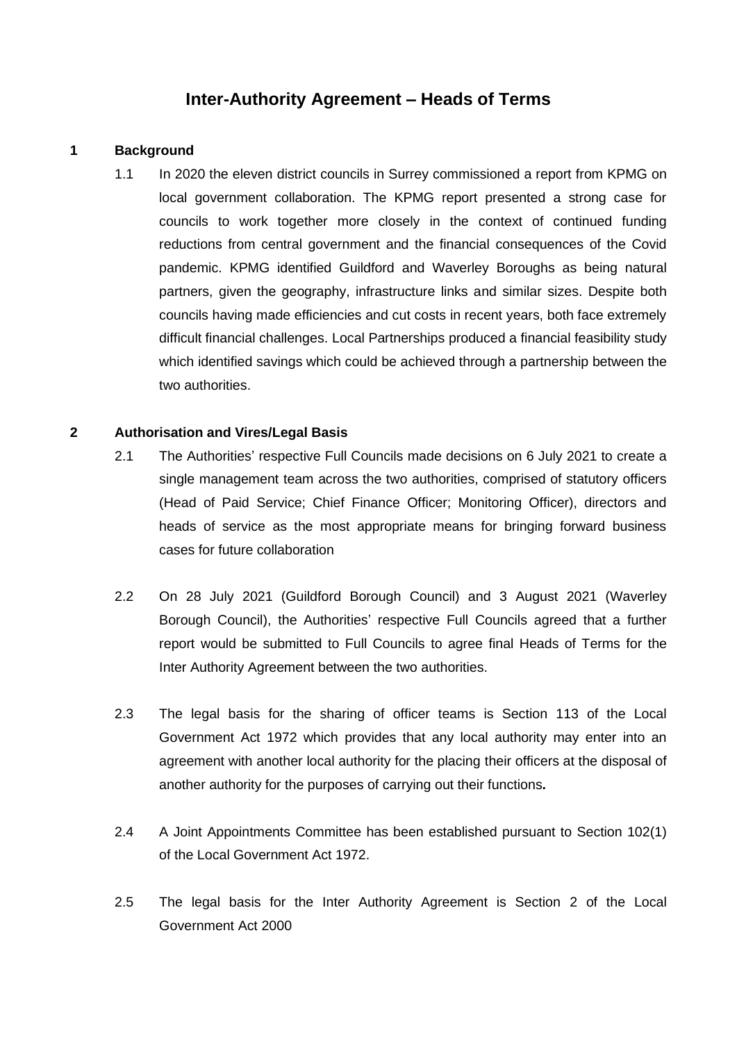# **Inter-Authority Agreement – Heads of Terms**

# **1 Background**

1.1 In 2020 the eleven district councils in Surrey commissioned a report from KPMG on local government collaboration. The KPMG report presented a strong case for councils to work together more closely in the context of continued funding reductions from central government and the financial consequences of the Covid pandemic. KPMG identified Guildford and Waverley Boroughs as being natural partners, given the geography, infrastructure links and similar sizes. Despite both councils having made efficiencies and cut costs in recent years, both face extremely difficult financial challenges. Local Partnerships produced a financial feasibility study which identified savings which could be achieved through a partnership between the two authorities.

# **2 Authorisation and Vires/Legal Basis**

- 2.1 The Authorities' respective Full Councils made decisions on 6 July 2021 to create a single management team across the two authorities, comprised of statutory officers (Head of Paid Service; Chief Finance Officer; Monitoring Officer), directors and heads of service as the most appropriate means for bringing forward business cases for future collaboration
- 2.2 On 28 July 2021 (Guildford Borough Council) and 3 August 2021 (Waverley Borough Council), the Authorities' respective Full Councils agreed that a further report would be submitted to Full Councils to agree final Heads of Terms for the Inter Authority Agreement between the two authorities.
- 2.3 The legal basis for the sharing of officer teams is Section 113 of the Local Government Act 1972 which provides that any local authority may enter into an agreement with another local authority for the placing their officers at the disposal of another authority for the purposes of carrying out their functions**.**
- 2.4 A Joint Appointments Committee has been established pursuant to Section 102(1) of the Local Government Act 1972.
- 2.5 The legal basis for the Inter Authority Agreement is Section 2 of the Local Government Act 2000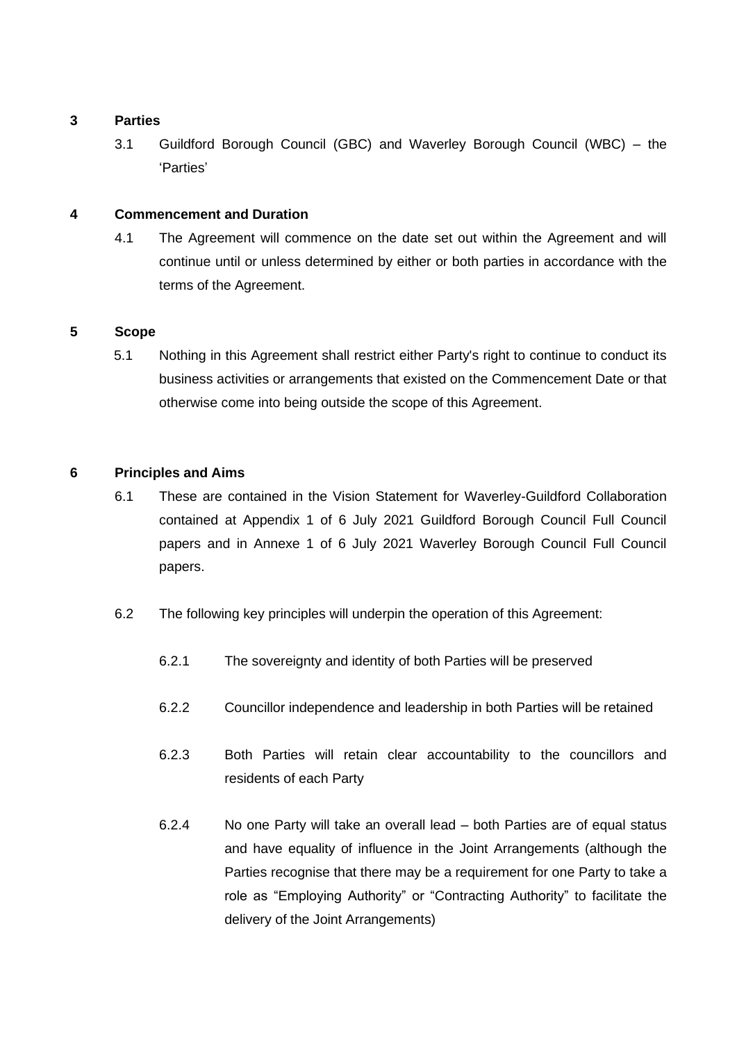# **3 Parties**

3.1 Guildford Borough Council (GBC) and Waverley Borough Council (WBC) – the 'Parties'

# **4 Commencement and Duration**

4.1 The Agreement will commence on the date set out within the Agreement and will continue until or unless determined by either or both parties in accordance with the terms of the Agreement.

# **5 Scope**

5.1 Nothing in this Agreement shall restrict either Party's right to continue to conduct its business activities or arrangements that existed on the Commencement Date or that otherwise come into being outside the scope of this Agreement.

# **6 Principles and Aims**

- 6.1 These are contained in the Vision Statement for Waverley-Guildford Collaboration contained at Appendix 1 of 6 July 2021 Guildford Borough Council Full Council papers and in Annexe 1 of 6 July 2021 Waverley Borough Council Full Council papers.
- 6.2 The following key principles will underpin the operation of this Agreement:
	- 6.2.1 The sovereignty and identity of both Parties will be preserved
	- 6.2.2 Councillor independence and leadership in both Parties will be retained
	- 6.2.3 Both Parties will retain clear accountability to the councillors and residents of each Party
	- 6.2.4 No one Party will take an overall lead both Parties are of equal status and have equality of influence in the Joint Arrangements (although the Parties recognise that there may be a requirement for one Party to take a role as "Employing Authority" or "Contracting Authority" to facilitate the delivery of the Joint Arrangements)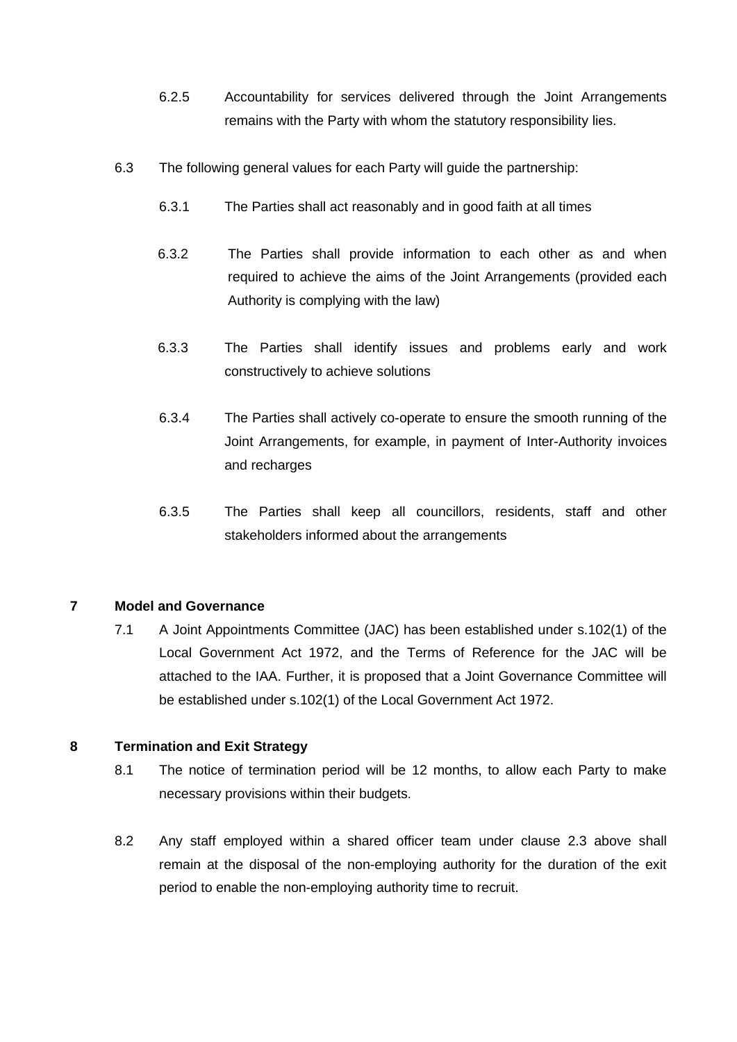- 6.2.5 Accountability for services delivered through the Joint Arrangements remains with the Party with whom the statutory responsibility lies.
- 6.3 The following general values for each Party will guide the partnership:
	- 6.3.1 The Parties shall act reasonably and in good faith at all times
	- 6.3.2 The Parties shall provide information to each other as and when required to achieve the aims of the Joint Arrangements (provided each Authority is complying with the law)
	- 6.3.3 The Parties shall identify issues and problems early and work constructively to achieve solutions
	- 6.3.4 The Parties shall actively co-operate to ensure the smooth running of the Joint Arrangements, for example, in payment of Inter-Authority invoices and recharges
	- 6.3.5 The Parties shall keep all councillors, residents, staff and other stakeholders informed about the arrangements

# **7 Model and Governance**

7.1 A Joint Appointments Committee (JAC) has been established under s.102(1) of the Local Government Act 1972, and the Terms of Reference for the JAC will be attached to the IAA. Further, it is proposed that a Joint Governance Committee will be established under s.102(1) of the Local Government Act 1972.

# **8 Termination and Exit Strategy**

- 8.1 The notice of termination period will be 12 months, to allow each Party to make necessary provisions within their budgets.
- 8.2 Any staff employed within a shared officer team under clause 2.3 above shall remain at the disposal of the non-employing authority for the duration of the exit period to enable the non-employing authority time to recruit.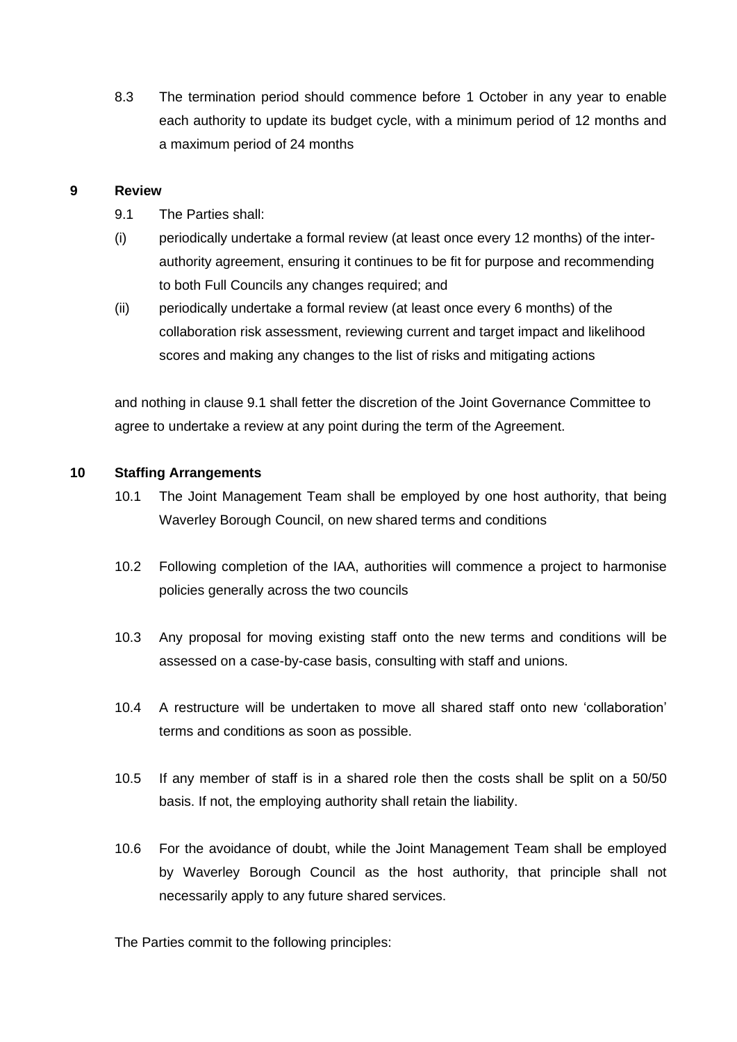8.3 The termination period should commence before 1 October in any year to enable each authority to update its budget cycle, with a minimum period of 12 months and a maximum period of 24 months

## **9 Review**

- 9.1 The Parties shall:
- (i) periodically undertake a formal review (at least once every 12 months) of the interauthority agreement, ensuring it continues to be fit for purpose and recommending to both Full Councils any changes required; and
- (ii) periodically undertake a formal review (at least once every 6 months) of the collaboration risk assessment, reviewing current and target impact and likelihood scores and making any changes to the list of risks and mitigating actions

and nothing in clause 9.1 shall fetter the discretion of the Joint Governance Committee to agree to undertake a review at any point during the term of the Agreement.

# **10 Staffing Arrangements**

- 10.1 The Joint Management Team shall be employed by one host authority, that being Waverley Borough Council, on new shared terms and conditions
- 10.2 Following completion of the IAA, authorities will commence a project to harmonise policies generally across the two councils
- 10.3 Any proposal for moving existing staff onto the new terms and conditions will be assessed on a case-by-case basis, consulting with staff and unions.
- 10.4 A restructure will be undertaken to move all shared staff onto new 'collaboration' terms and conditions as soon as possible.
- 10.5 If any member of staff is in a shared role then the costs shall be split on a 50/50 basis. If not, the employing authority shall retain the liability.
- 10.6 For the avoidance of doubt, while the Joint Management Team shall be employed by Waverley Borough Council as the host authority, that principle shall not necessarily apply to any future shared services.

The Parties commit to the following principles: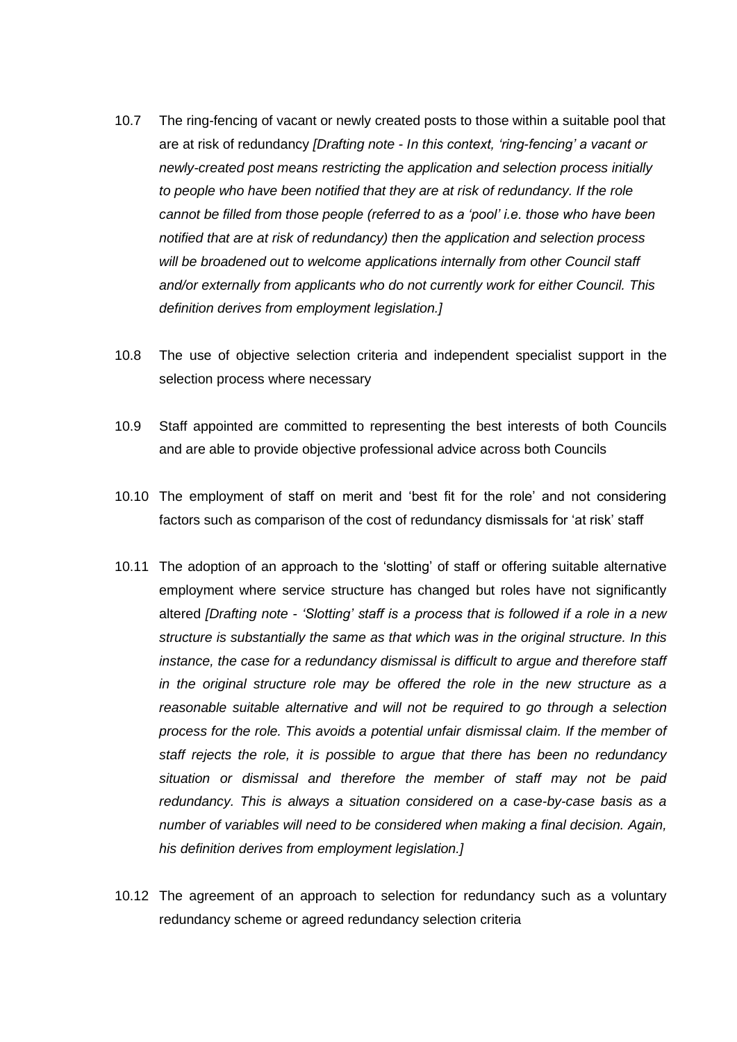- 10.7 The ring-fencing of vacant or newly created posts to those within a suitable pool that are at risk of redundancy *[Drafting note - In this context, 'ring-fencing' a vacant or newly-created post means restricting the application and selection process initially*  to people who have been notified that they are at risk of redundancy. If the role *cannot be filled from those people (referred to as a 'pool' i.e. those who have been notified that are at risk of redundancy) then the application and selection process will be broadened out to welcome applications internally from other Council staff and/or externally from applicants who do not currently work for either Council. This definition derives from employment legislation.]*
- 10.8 The use of objective selection criteria and independent specialist support in the selection process where necessary
- 10.9 Staff appointed are committed to representing the best interests of both Councils and are able to provide objective professional advice across both Councils
- 10.10 The employment of staff on merit and 'best fit for the role' and not considering factors such as comparison of the cost of redundancy dismissals for 'at risk' staff
- 10.11 The adoption of an approach to the 'slotting' of staff or offering suitable alternative employment where service structure has changed but roles have not significantly altered *[Drafting note - 'Slotting' staff is a process that is followed if a role in a new structure is substantially the same as that which was in the original structure. In this instance, the case for a redundancy dismissal is difficult to argue and therefore staff in the original structure role may be offered the role in the new structure as a reasonable suitable alternative and will not be required to go through a selection process for the role. This avoids a potential unfair dismissal claim. If the member of staff rejects the role, it is possible to argue that there has been no redundancy situation or dismissal and therefore the member of staff may not be paid redundancy. This is always a situation considered on a case-by-case basis as a number of variables will need to be considered when making a final decision. Again, his definition derives from employment legislation.]*
- 10.12 The agreement of an approach to selection for redundancy such as a voluntary redundancy scheme or agreed redundancy selection criteria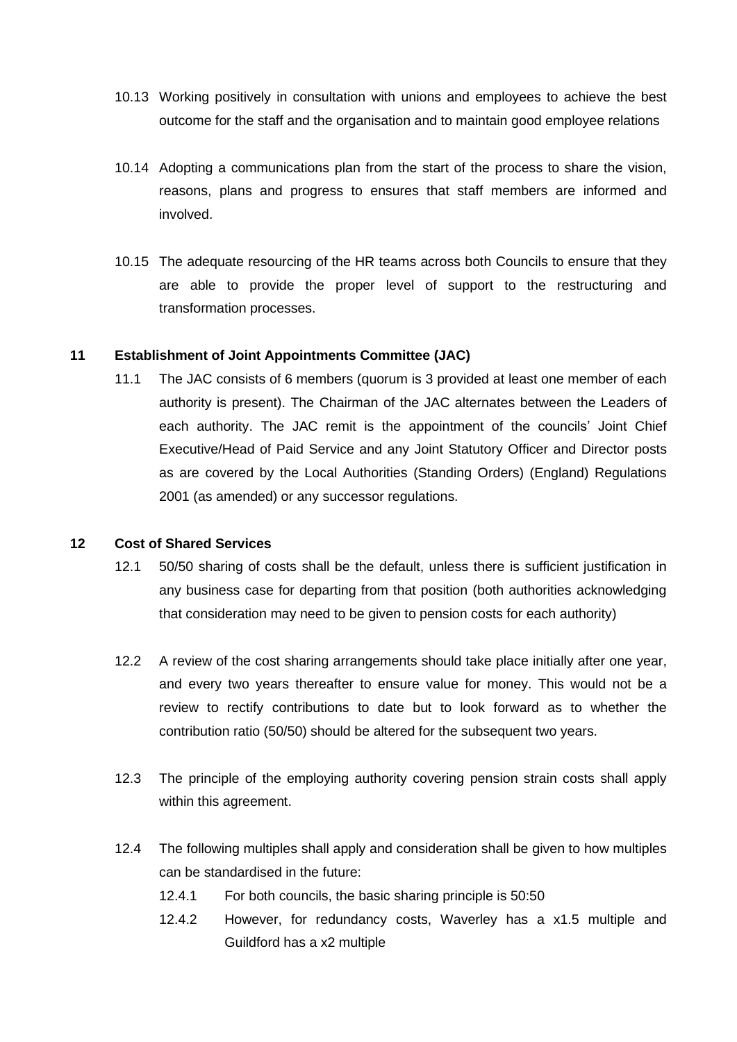- 10.13 Working positively in consultation with unions and employees to achieve the best outcome for the staff and the organisation and to maintain good employee relations
- 10.14 Adopting a communications plan from the start of the process to share the vision, reasons, plans and progress to ensures that staff members are informed and involved.
- 10.15 The adequate resourcing of the HR teams across both Councils to ensure that they are able to provide the proper level of support to the restructuring and transformation processes.

# **11 Establishment of Joint Appointments Committee (JAC)**

11.1 The JAC consists of 6 members (quorum is 3 provided at least one member of each authority is present). The Chairman of the JAC alternates between the Leaders of each authority. The JAC remit is the appointment of the councils' Joint Chief Executive/Head of Paid Service and any Joint Statutory Officer and Director posts as are covered by the Local Authorities (Standing Orders) (England) Regulations 2001 (as amended) or any successor regulations.

#### **12 Cost of Shared Services**

- 12.1 50/50 sharing of costs shall be the default, unless there is sufficient justification in any business case for departing from that position (both authorities acknowledging that consideration may need to be given to pension costs for each authority)
- 12.2 A review of the cost sharing arrangements should take place initially after one year, and every two years thereafter to ensure value for money. This would not be a review to rectify contributions to date but to look forward as to whether the contribution ratio (50/50) should be altered for the subsequent two years.
- 12.3 The principle of the employing authority covering pension strain costs shall apply within this agreement.
- 12.4 The following multiples shall apply and consideration shall be given to how multiples can be standardised in the future:
	- 12.4.1 For both councils, the basic sharing principle is 50:50
	- 12.4.2 However, for redundancy costs, Waverley has a x1.5 multiple and Guildford has a x2 multiple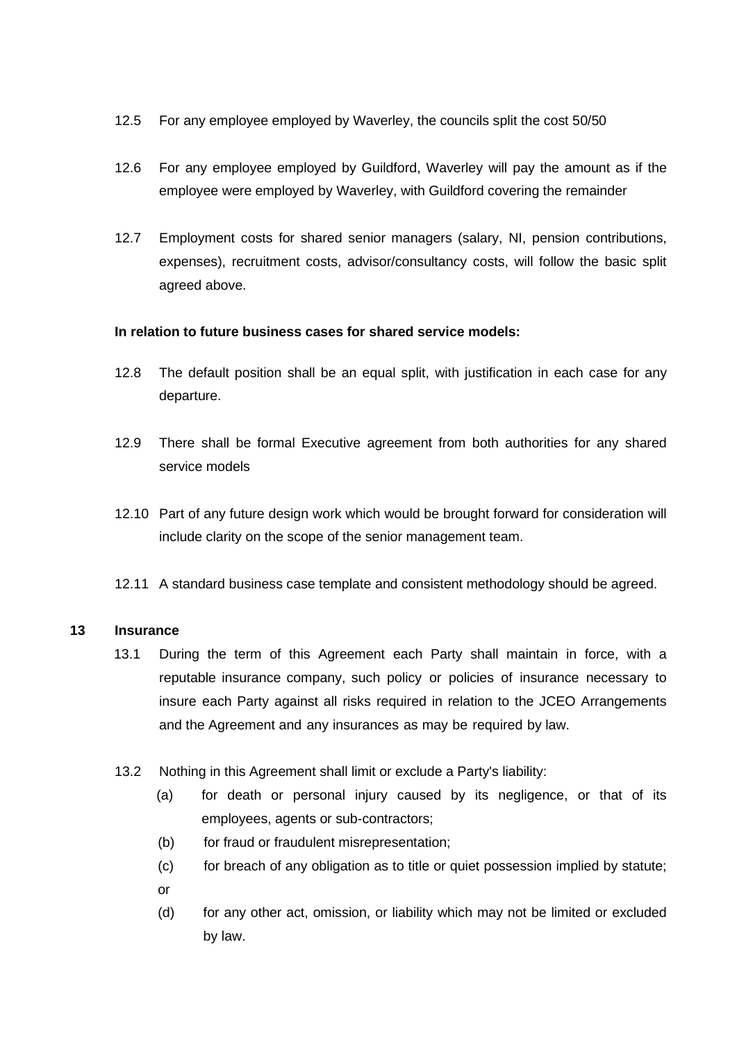- 12.5 For any employee employed by Waverley, the councils split the cost 50/50
- 12.6 For any employee employed by Guildford, Waverley will pay the amount as if the employee were employed by Waverley, with Guildford covering the remainder
- 12.7 Employment costs for shared senior managers (salary, NI, pension contributions, expenses), recruitment costs, advisor/consultancy costs, will follow the basic split agreed above.

# **In relation to future business cases for shared service models:**

- 12.8 The default position shall be an equal split, with justification in each case for any departure.
- 12.9 There shall be formal Executive agreement from both authorities for any shared service models
- 12.10 Part of any future design work which would be brought forward for consideration will include clarity on the scope of the senior management team.
- 12.11 A standard business case template and consistent methodology should be agreed.

# **13 Insurance**

- 13.1 During the term of this Agreement each Party shall maintain in force, with a reputable insurance company, such policy or policies of insurance necessary to insure each Party against all risks required in relation to the JCEO Arrangements and the Agreement and any insurances as may be required by law.
- 13.2 Nothing in this Agreement shall limit or exclude a Party's liability:
	- (a) for death or personal injury caused by its negligence, or that of its employees, agents or sub-contractors;
	- (b) for fraud or fraudulent misrepresentation;
	- (c) for breach of any obligation as to title or quiet possession implied by statute; or
	- (d) for any other act, omission, or liability which may not be limited or excluded by law.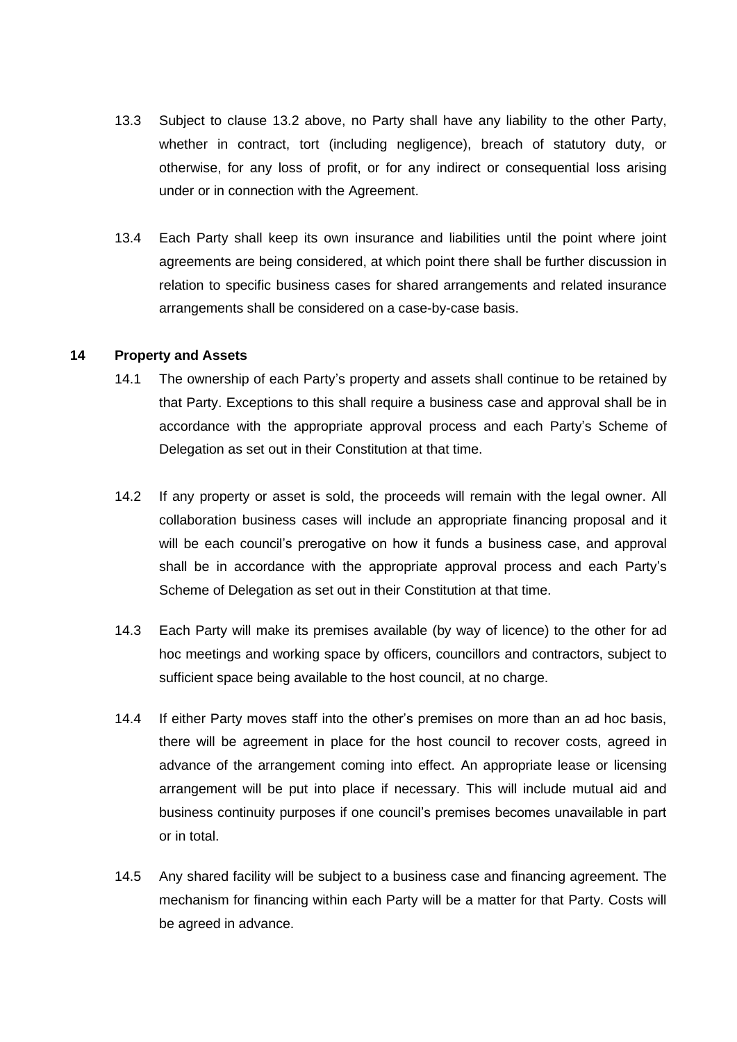- 13.3 Subject to clause 13.2 above, no Party shall have any liability to the other Party, whether in contract, tort (including negligence), breach of statutory duty, or otherwise, for any loss of profit, or for any indirect or consequential loss arising under or in connection with the Agreement.
- 13.4 Each Party shall keep its own insurance and liabilities until the point where joint agreements are being considered, at which point there shall be further discussion in relation to specific business cases for shared arrangements and related insurance arrangements shall be considered on a case-by-case basis.

#### **14 Property and Assets**

- 14.1 The ownership of each Party's property and assets shall continue to be retained by that Party. Exceptions to this shall require a business case and approval shall be in accordance with the appropriate approval process and each Party's Scheme of Delegation as set out in their Constitution at that time.
- 14.2 If any property or asset is sold, the proceeds will remain with the legal owner. All collaboration business cases will include an appropriate financing proposal and it will be each council's prerogative on how it funds a business case, and approval shall be in accordance with the appropriate approval process and each Party's Scheme of Delegation as set out in their Constitution at that time.
- 14.3 Each Party will make its premises available (by way of licence) to the other for ad hoc meetings and working space by officers, councillors and contractors, subject to sufficient space being available to the host council, at no charge.
- 14.4 If either Party moves staff into the other's premises on more than an ad hoc basis, there will be agreement in place for the host council to recover costs, agreed in advance of the arrangement coming into effect. An appropriate lease or licensing arrangement will be put into place if necessary. This will include mutual aid and business continuity purposes if one council's premises becomes unavailable in part or in total.
- 14.5 Any shared facility will be subject to a business case and financing agreement. The mechanism for financing within each Party will be a matter for that Party. Costs will be agreed in advance.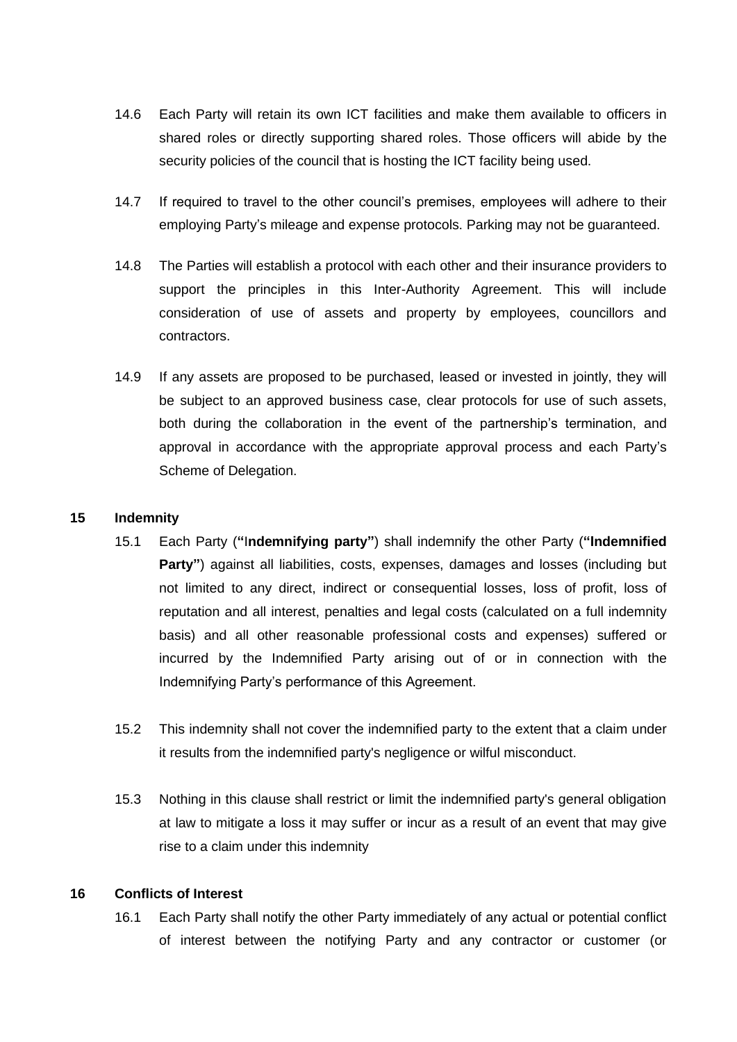- 14.6 Each Party will retain its own ICT facilities and make them available to officers in shared roles or directly supporting shared roles. Those officers will abide by the security policies of the council that is hosting the ICT facility being used.
- 14.7 If required to travel to the other council's premises, employees will adhere to their employing Party's mileage and expense protocols. Parking may not be guaranteed.
- 14.8 The Parties will establish a protocol with each other and their insurance providers to support the principles in this Inter-Authority Agreement. This will include consideration of use of assets and property by employees, councillors and contractors.
- 14.9 If any assets are proposed to be purchased, leased or invested in jointly, they will be subject to an approved business case, clear protocols for use of such assets, both during the collaboration in the event of the partnership's termination, and approval in accordance with the appropriate approval process and each Party's Scheme of Delegation.

#### **15 Indemnity**

- 15.1 Each Party (**"**I**ndemnifying party"**) shall indemnify the other Party (**"Indemnified Party**") against all liabilities, costs, expenses, damages and losses (including but not limited to any direct, indirect or consequential losses, loss of profit, loss of reputation and all interest, penalties and legal costs (calculated on a full indemnity basis) and all other reasonable professional costs and expenses) suffered or incurred by the Indemnified Party arising out of or in connection with the Indemnifying Party's performance of this Agreement.
- 15.2 This indemnity shall not cover the indemnified party to the extent that a claim under it results from the indemnified party's negligence or wilful misconduct.
- 15.3 Nothing in this clause shall restrict or limit the indemnified party's general obligation at law to mitigate a loss it may suffer or incur as a result of an event that may give rise to a claim under this indemnity

#### **16 Conflicts of Interest**

16.1 Each Party shall notify the other Party immediately of any actual or potential conflict of interest between the notifying Party and any contractor or customer (or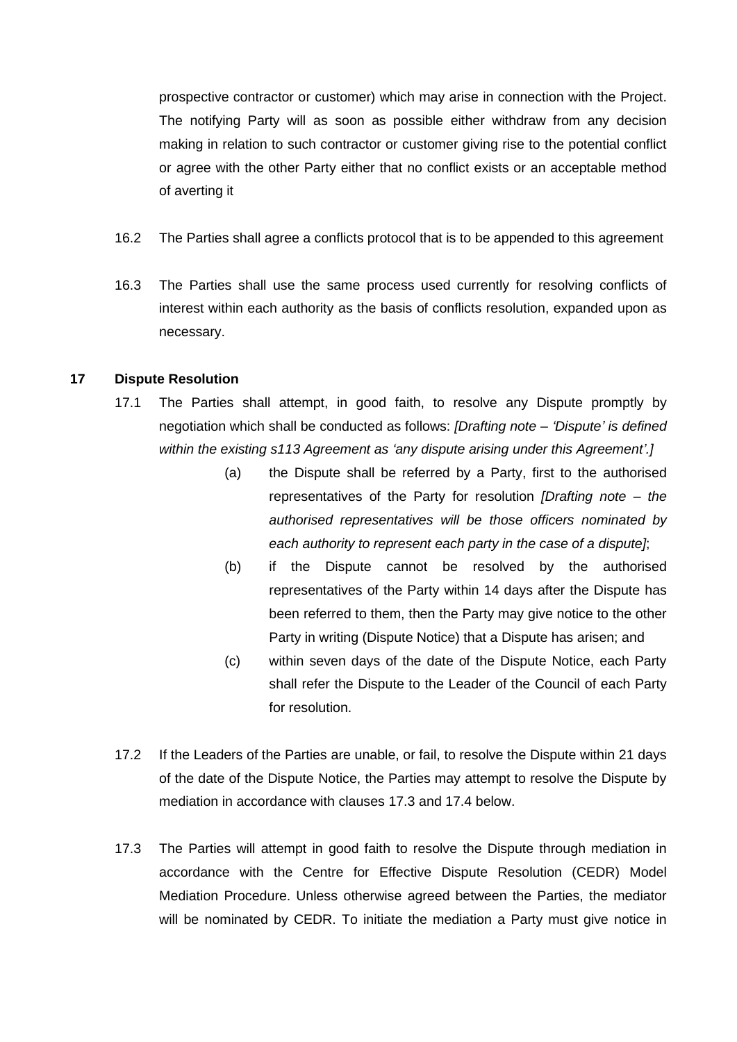prospective contractor or customer) which may arise in connection with the Project. The notifying Party will as soon as possible either withdraw from any decision making in relation to such contractor or customer giving rise to the potential conflict or agree with the other Party either that no conflict exists or an acceptable method of averting it

- 16.2 The Parties shall agree a conflicts protocol that is to be appended to this agreement
- 16.3 The Parties shall use the same process used currently for resolving conflicts of interest within each authority as the basis of conflicts resolution, expanded upon as necessary.

#### **17 Dispute Resolution**

- 17.1 The Parties shall attempt, in good faith, to resolve any Dispute promptly by negotiation which shall be conducted as follows: *[Drafting note – 'Dispute' is defined within the existing s113 Agreement as 'any dispute arising under this Agreement'.]*
	- (a) the Dispute shall be referred by a Party, first to the authorised representatives of the Party for resolution *[Drafting note – the authorised representatives will be those officers nominated by each authority to represent each party in the case of a dispute]*;
	- (b) if the Dispute cannot be resolved by the authorised representatives of the Party within 14 days after the Dispute has been referred to them, then the Party may give notice to the other Party in writing (Dispute Notice) that a Dispute has arisen; and
	- (c) within seven days of the date of the Dispute Notice, each Party shall refer the Dispute to the Leader of the Council of each Party for resolution.
- 17.2 If the Leaders of the Parties are unable, or fail, to resolve the Dispute within 21 days of the date of the Dispute Notice, the Parties may attempt to resolve the Dispute by mediation in accordance with clauses 17.3 and 17.4 below.
- 17.3 The Parties will attempt in good faith to resolve the Dispute through mediation in accordance with the Centre for Effective Dispute Resolution (CEDR) Model Mediation Procedure. Unless otherwise agreed between the Parties, the mediator will be nominated by CEDR. To initiate the mediation a Party must give notice in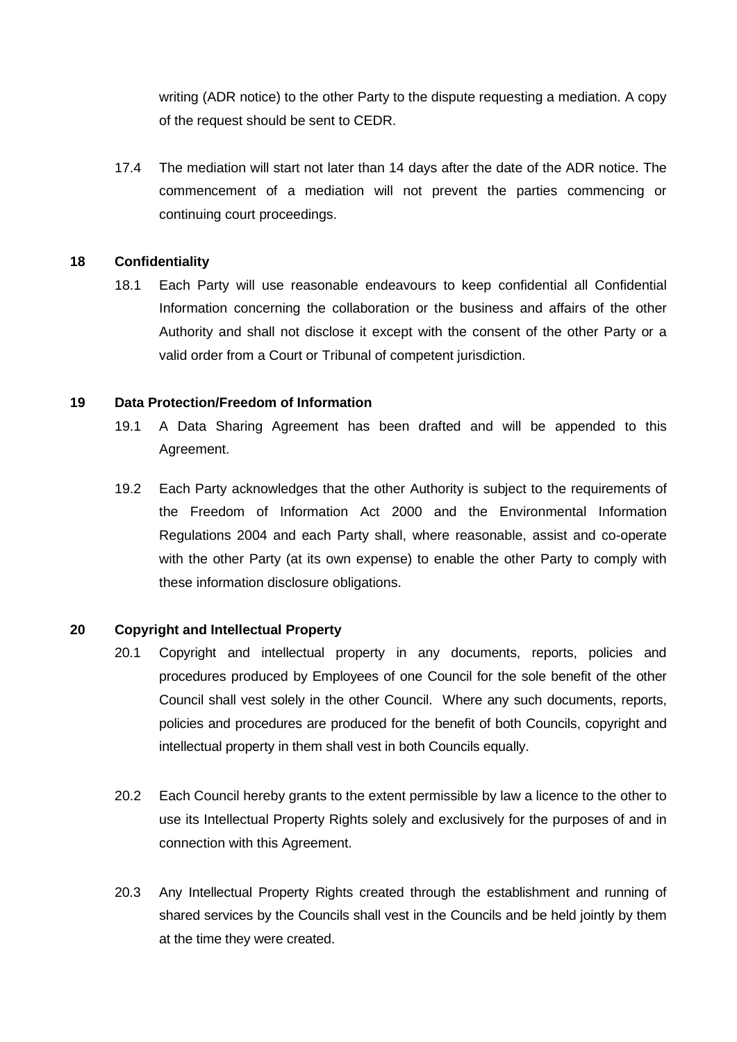writing (ADR notice) to the other Party to the dispute requesting a mediation. A copy of the request should be sent to CEDR.

17.4 The mediation will start not later than 14 days after the date of the ADR notice. The commencement of a mediation will not prevent the parties commencing or continuing court proceedings.

# **18 Confidentiality**

18.1 Each Party will use reasonable endeavours to keep confidential all Confidential Information concerning the collaboration or the business and affairs of the other Authority and shall not disclose it except with the consent of the other Party or a valid order from a Court or Tribunal of competent jurisdiction.

# **19 Data Protection/Freedom of Information**

- 19.1 A Data Sharing Agreement has been drafted and will be appended to this Agreement.
- 19.2 Each Party acknowledges that the other Authority is subject to the requirements of the Freedom of Information Act 2000 and the Environmental Information Regulations 2004 and each Party shall, where reasonable, assist and co-operate with the other Party (at its own expense) to enable the other Party to comply with these information disclosure obligations.

# **20 Copyright and Intellectual Property**

- 20.1 Copyright and intellectual property in any documents, reports, policies and procedures produced by Employees of one Council for the sole benefit of the other Council shall vest solely in the other Council. Where any such documents, reports, policies and procedures are produced for the benefit of both Councils, copyright and intellectual property in them shall vest in both Councils equally.
- 20.2 Each Council hereby grants to the extent permissible by law a licence to the other to use its Intellectual Property Rights solely and exclusively for the purposes of and in connection with this Agreement.
- 20.3 Any Intellectual Property Rights created through the establishment and running of shared services by the Councils shall vest in the Councils and be held jointly by them at the time they were created.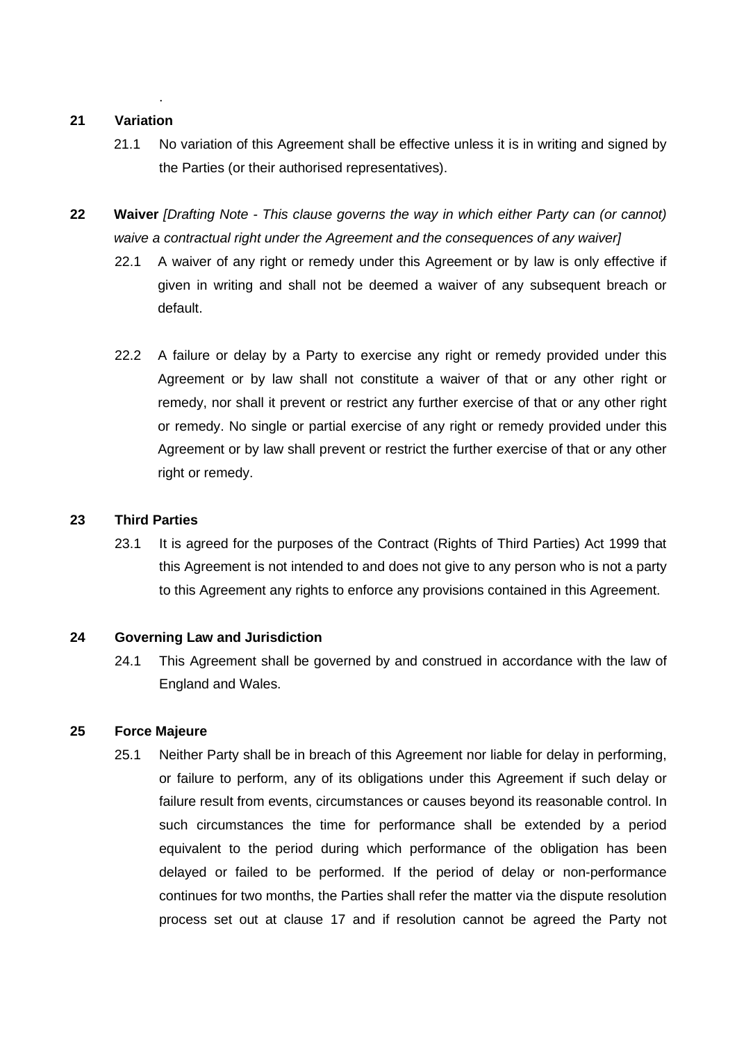#### **21 Variation**

.

- 21.1 No variation of this Agreement shall be effective unless it is in writing and signed by the Parties (or their authorised representatives).
- **22 Waiver** *[Drafting Note - This clause governs the way in which either Party can (or cannot) waive a contractual right under the Agreement and the consequences of any waiver]*
	- 22.1 A waiver of any right or remedy under this Agreement or by law is only effective if given in writing and shall not be deemed a waiver of any subsequent breach or default.
	- 22.2 A failure or delay by a Party to exercise any right or remedy provided under this Agreement or by law shall not constitute a waiver of that or any other right or remedy, nor shall it prevent or restrict any further exercise of that or any other right or remedy. No single or partial exercise of any right or remedy provided under this Agreement or by law shall prevent or restrict the further exercise of that or any other right or remedy.

## **23 Third Parties**

23.1 It is agreed for the purposes of the Contract (Rights of Third Parties) Act 1999 that this Agreement is not intended to and does not give to any person who is not a party to this Agreement any rights to enforce any provisions contained in this Agreement.

#### **24 Governing Law and Jurisdiction**

24.1 This Agreement shall be governed by and construed in accordance with the law of England and Wales.

#### **25 Force Majeure**

25.1 Neither Party shall be in breach of this Agreement nor liable for delay in performing, or failure to perform, any of its obligations under this Agreement if such delay or failure result from events, circumstances or causes beyond its reasonable control. In such circumstances the time for performance shall be extended by a period equivalent to the period during which performance of the obligation has been delayed or failed to be performed. If the period of delay or non-performance continues for two months, the Parties shall refer the matter via the dispute resolution process set out at clause 17 and if resolution cannot be agreed the Party not